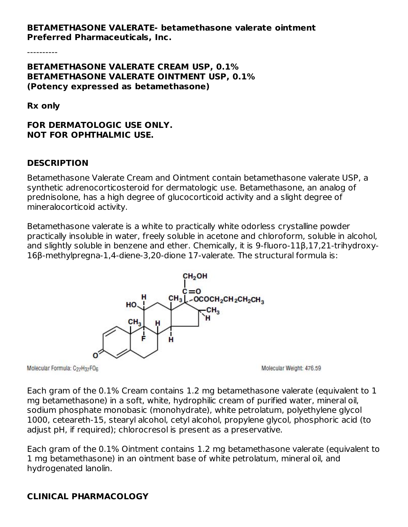#### **BETAMETHASONE VALERATE- betamethasone valerate ointment Preferred Pharmaceuticals, Inc.**

----------

#### **BETAMETHASONE VALERATE CREAM USP, 0.1% BETAMETHASONE VALERATE OINTMENT USP, 0.1% (Potency expressed as betamethasone)**

**Rx only**

#### **FOR DERMATOLOGIC USE ONLY. NOT FOR OPHTHALMIC USE.**

#### **DESCRIPTION**

Betamethasone Valerate Cream and Ointment contain betamethasone valerate USP, a synthetic adrenocorticosteroid for dermatologic use. Betamethasone, an analog of prednisolone, has a high degree of glucocorticoid activity and a slight degree of mineralocorticoid activity.

Betamethasone valerate is a white to practically white odorless crystalline powder practically insoluble in water, freely soluble in acetone and chloroform, soluble in alcohol, and slightly soluble in benzene and ether. Chemically, it is 9-fluoro-11β,17,21-trihydroxy-16β-methylpregna-1,4-diene-3,20-dione 17-valerate. The structural formula is:



Molecular Formula: C<sub>27</sub>H<sub>37</sub>FO<sub>6</sub>

Molecular Weight: 476.59

Each gram of the 0.1% Cream contains 1.2 mg betamethasone valerate (equivalent to 1 mg betamethasone) in a soft, white, hydrophilic cream of purified water, mineral oil, sodium phosphate monobasic (monohydrate), white petrolatum, polyethylene glycol 1000, ceteareth-15, stearyl alcohol, cetyl alcohol, propylene glycol, phosphoric acid (to adjust pH, if required); chlorocresol is present as a preservative.

Each gram of the 0.1% Ointment contains 1.2 mg betamethasone valerate (equivalent to 1 mg betamethasone) in an ointment base of white petrolatum, mineral oil, and hydrogenated lanolin.

# **CLINICAL PHARMACOLOGY**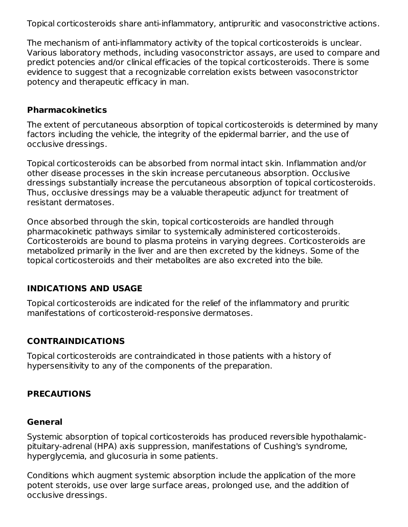Topical corticosteroids share anti-inflammatory, antipruritic and vasoconstrictive actions.

The mechanism of anti-inflammatory activity of the topical corticosteroids is unclear. Various laboratory methods, including vasoconstrictor assays, are used to compare and predict potencies and/or clinical efficacies of the topical corticosteroids. There is some evidence to suggest that a recognizable correlation exists between vasoconstrictor potency and therapeutic efficacy in man.

#### **Pharmacokinetics**

The extent of percutaneous absorption of topical corticosteroids is determined by many factors including the vehicle, the integrity of the epidermal barrier, and the use of occlusive dressings.

Topical corticosteroids can be absorbed from normal intact skin. Inflammation and/or other disease processes in the skin increase percutaneous absorption. Occlusive dressings substantially increase the percutaneous absorption of topical corticosteroids. Thus, occlusive dressings may be a valuable therapeutic adjunct for treatment of resistant dermatoses.

Once absorbed through the skin, topical corticosteroids are handled through pharmacokinetic pathways similar to systemically administered corticosteroids. Corticosteroids are bound to plasma proteins in varying degrees. Corticosteroids are metabolized primarily in the liver and are then excreted by the kidneys. Some of the topical corticosteroids and their metabolites are also excreted into the bile.

### **INDICATIONS AND USAGE**

Topical corticosteroids are indicated for the relief of the inflammatory and pruritic manifestations of corticosteroid-responsive dermatoses.

### **CONTRAINDICATIONS**

Topical corticosteroids are contraindicated in those patients with a history of hypersensitivity to any of the components of the preparation.

### **PRECAUTIONS**

#### **General**

Systemic absorption of topical corticosteroids has produced reversible hypothalamicpituitary-adrenal (HPA) axis suppression, manifestations of Cushing's syndrome, hyperglycemia, and glucosuria in some patients.

Conditions which augment systemic absorption include the application of the more potent steroids, use over large surface areas, prolonged use, and the addition of occlusive dressings.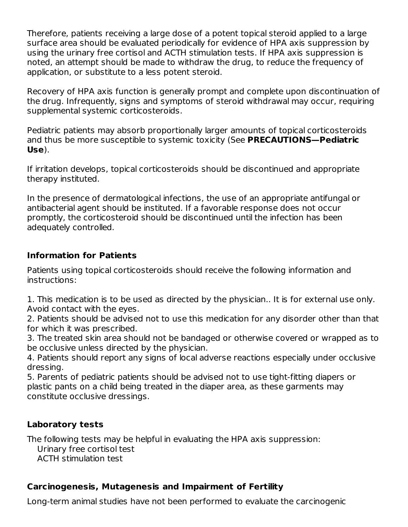Therefore, patients receiving a large dose of a potent topical steroid applied to a large surface area should be evaluated periodically for evidence of HPA axis suppression by using the urinary free cortisol and ACTH stimulation tests. If HPA axis suppression is noted, an attempt should be made to withdraw the drug, to reduce the frequency of application, or substitute to a less potent steroid.

Recovery of HPA axis function is generally prompt and complete upon discontinuation of the drug. Infrequently, signs and symptoms of steroid withdrawal may occur, requiring supplemental systemic corticosteroids.

Pediatric patients may absorb proportionally larger amounts of topical corticosteroids and thus be more susceptible to systemic toxicity (See **PRECAUTIONS—Pediatric Use**).

If irritation develops, topical corticosteroids should be discontinued and appropriate therapy instituted.

In the presence of dermatological infections, the use of an appropriate antifungal or antibacterial agent should be instituted. If a favorable response does not occur promptly, the corticosteroid should be discontinued until the infection has been adequately controlled.

### **Information for Patients**

Patients using topical corticosteroids should receive the following information and instructions:

1. This medication is to be used as directed by the physician.. It is for external use only. Avoid contact with the eyes.

2. Patients should be advised not to use this medication for any disorder other than that for which it was prescribed.

3. The treated skin area should not be bandaged or otherwise covered or wrapped as to be occlusive unless directed by the physician.

4. Patients should report any signs of local adverse reactions especially under occlusive dressing.

5. Parents of pediatric patients should be advised not to use tight-fitting diapers or plastic pants on a child being treated in the diaper area, as these garments may constitute occlusive dressings.

# **Laboratory tests**

The following tests may be helpful in evaluating the HPA axis suppression: Urinary free cortisol test ACTH stimulation test

# **Carcinogenesis, Mutagenesis and Impairment of Fertility**

Long-term animal studies have not been performed to evaluate the carcinogenic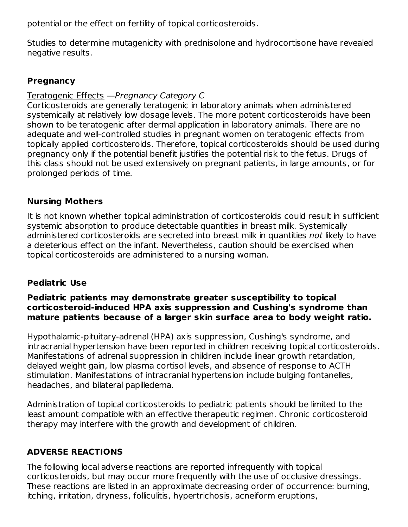potential or the effect on fertility of topical corticosteroids.

Studies to determine mutagenicity with prednisolone and hydrocortisone have revealed negative results.

# **Pregnancy**

# Teratogenic Effects —Pregnancy Category C

Corticosteroids are generally teratogenic in laboratory animals when administered systemically at relatively low dosage levels. The more potent corticosteroids have been shown to be teratogenic after dermal application in laboratory animals. There are no adequate and well-controlled studies in pregnant women on teratogenic effects from topically applied corticosteroids. Therefore, topical corticosteroids should be used during pregnancy only if the potential benefit justifies the potential risk to the fetus. Drugs of this class should not be used extensively on pregnant patients, in large amounts, or for prolonged periods of time.

# **Nursing Mothers**

It is not known whether topical administration of corticosteroids could result in sufficient systemic absorption to produce detectable quantities in breast milk. Systemically administered corticosteroids are secreted into breast milk in quantities not likely to have a deleterious effect on the infant. Nevertheless, caution should be exercised when topical corticosteroids are administered to a nursing woman.

# **Pediatric Use**

### **Pediatric patients may demonstrate greater susceptibility to topical corticosteroid-induced HPA axis suppression and Cushing's syndrome than mature patients because of a larger skin surface area to body weight ratio.**

Hypothalamic-pituitary-adrenal (HPA) axis suppression, Cushing's syndrome, and intracranial hypertension have been reported in children receiving topical corticosteroids. Manifestations of adrenal suppression in children include linear growth retardation, delayed weight gain, low plasma cortisol levels, and absence of response to ACTH stimulation. Manifestations of intracranial hypertension include bulging fontanelles, headaches, and bilateral papilledema.

Administration of topical corticosteroids to pediatric patients should be limited to the least amount compatible with an effective therapeutic regimen. Chronic corticosteroid therapy may interfere with the growth and development of children.

# **ADVERSE REACTIONS**

The following local adverse reactions are reported infrequently with topical corticosteroids, but may occur more frequently with the use of occlusive dressings. These reactions are listed in an approximate decreasing order of occurrence: burning, itching, irritation, dryness, folliculitis, hypertrichosis, acneiform eruptions,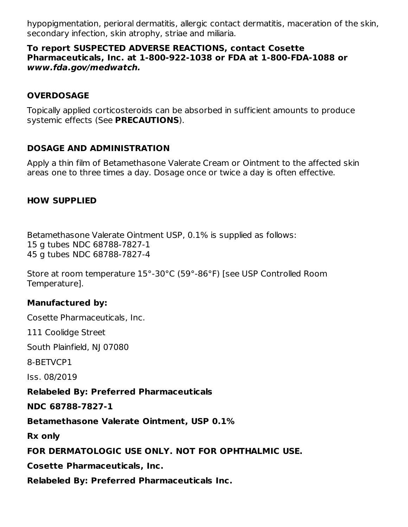hypopigmentation, perioral dermatitis, allergic contact dermatitis, maceration of the skin, secondary infection, skin atrophy, striae and miliaria.

#### **To report SUSPECTED ADVERSE REACTIONS, contact Cosette Pharmaceuticals, Inc. at 1-800-922-1038 or FDA at 1-800-FDA-1088 or www.fda.gov/medwatch.**

### **OVERDOSAGE**

Topically applied corticosteroids can be absorbed in sufficient amounts to produce systemic effects (See **PRECAUTIONS**).

### **DOSAGE AND ADMINISTRATION**

Apply a thin film of Betamethasone Valerate Cream or Ointment to the affected skin areas one to three times a day. Dosage once or twice a day is often effective.

### **HOW SUPPLIED**

Betamethasone Valerate Ointment USP, 0.1% is supplied as follows: 15 g tubes NDC 68788-7827-1 45 g tubes NDC 68788-7827-4

Store at room temperature 15°-30°C (59°-86°F) [see USP Controlled Room Temperature].

# **Manufactured by:**

Cosette Pharmaceuticals, Inc.

111 Coolidge Street

South Plainfield, NJ 07080

8-BETVCP1

Iss. 08/2019

#### **Relabeled By: Preferred Pharmaceuticals**

**NDC 68788-7827-1**

**Betamethasone Valerate Ointment, USP 0.1%**

**Rx only**

**FOR DERMATOLOGIC USE ONLY. NOT FOR OPHTHALMIC USE.**

**Cosette Pharmaceuticals, Inc.**

**Relabeled By: Preferred Pharmaceuticals Inc.**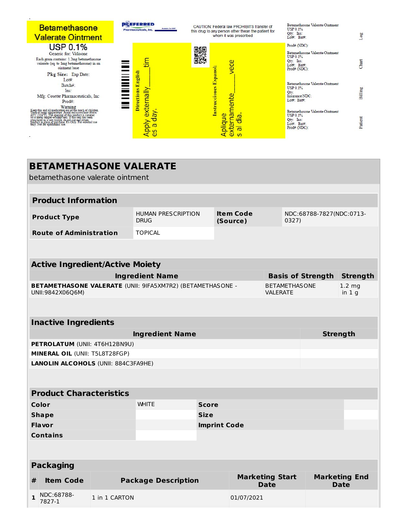

| <b>BETAMETHASONE VALERATE</b><br>betamethasone valerate ointment                      |                                                |                                          |                              |                                       |            |                                         |                                     |                          |                 |
|---------------------------------------------------------------------------------------|------------------------------------------------|------------------------------------------|------------------------------|---------------------------------------|------------|-----------------------------------------|-------------------------------------|--------------------------|-----------------|
|                                                                                       |                                                |                                          |                              |                                       |            |                                         |                                     |                          |                 |
|                                                                                       | <b>Product Information</b>                     |                                          |                              |                                       |            |                                         |                                     |                          |                 |
| <b>Product Type</b>                                                                   |                                                | <b>HUMAN PRESCRIPTION</b><br><b>DRUG</b> | <b>Item Code</b><br>(Source) |                                       |            | NDC:68788-7827(NDC:0713-<br>0327)       |                                     |                          |                 |
|                                                                                       | <b>Route of Administration</b>                 |                                          | <b>TOPICAL</b>               |                                       |            |                                         |                                     |                          |                 |
|                                                                                       |                                                |                                          |                              |                                       |            |                                         |                                     |                          |                 |
| <b>Active Ingredient/Active Moiety</b>                                                |                                                |                                          |                              |                                       |            |                                         |                                     |                          |                 |
|                                                                                       |                                                |                                          | <b>Ingredient Name</b>       |                                       |            |                                         |                                     | <b>Basis of Strength</b> | <b>Strength</b> |
| <b>BETAMETHASONE VALERATE (UNII: 9IFA5XM7R2) (BETAMETHASONE -</b><br>UNII:9842X06Q6M) |                                                |                                          |                              |                                       |            | <b>BETAMETHASONE</b><br><b>VALERATE</b> |                                     | $1.2 \, mg$<br>in $1g$   |                 |
|                                                                                       |                                                |                                          |                              |                                       |            |                                         |                                     |                          |                 |
| <b>Inactive Ingredients</b>                                                           |                                                |                                          |                              |                                       |            |                                         |                                     |                          |                 |
|                                                                                       |                                                |                                          | <b>Ingredient Name</b>       |                                       |            |                                         | <b>Strength</b>                     |                          |                 |
| PETROLATUM (UNII: 4T6H12BN9U)                                                         |                                                |                                          |                              |                                       |            |                                         |                                     |                          |                 |
|                                                                                       | MINERAL OIL (UNII: T5L8T28FGP)                 |                                          |                              |                                       |            |                                         |                                     |                          |                 |
|                                                                                       | <b>LANOLIN ALCOHOLS (UNII: 884C3FA9HE)</b>     |                                          |                              |                                       |            |                                         |                                     |                          |                 |
|                                                                                       |                                                |                                          |                              |                                       |            |                                         |                                     |                          |                 |
|                                                                                       | <b>Product Characteristics</b>                 |                                          |                              |                                       |            |                                         |                                     |                          |                 |
| Color                                                                                 |                                                |                                          | <b>WHITE</b>                 | <b>Score</b>                          |            |                                         |                                     |                          |                 |
| <b>Shape</b>                                                                          |                                                |                                          |                              | <b>Size</b>                           |            |                                         |                                     |                          |                 |
| Flavor                                                                                |                                                |                                          |                              | <b>Imprint Code</b>                   |            |                                         |                                     |                          |                 |
|                                                                                       | <b>Contains</b>                                |                                          |                              |                                       |            |                                         |                                     |                          |                 |
|                                                                                       |                                                |                                          |                              |                                       |            |                                         |                                     |                          |                 |
| <b>Packaging</b>                                                                      |                                                |                                          |                              |                                       |            |                                         |                                     |                          |                 |
| #                                                                                     | <b>Package Description</b><br><b>Item Code</b> |                                          |                              | <b>Marketing Start</b><br><b>Date</b> |            |                                         | <b>Marketing End</b><br><b>Date</b> |                          |                 |
| $\mathbf{1}$                                                                          | NDC:68788-<br>7827-1                           | 1 in 1 CARTON                            |                              |                                       | 01/07/2021 |                                         |                                     |                          |                 |
|                                                                                       |                                                |                                          |                              |                                       |            |                                         |                                     |                          |                 |